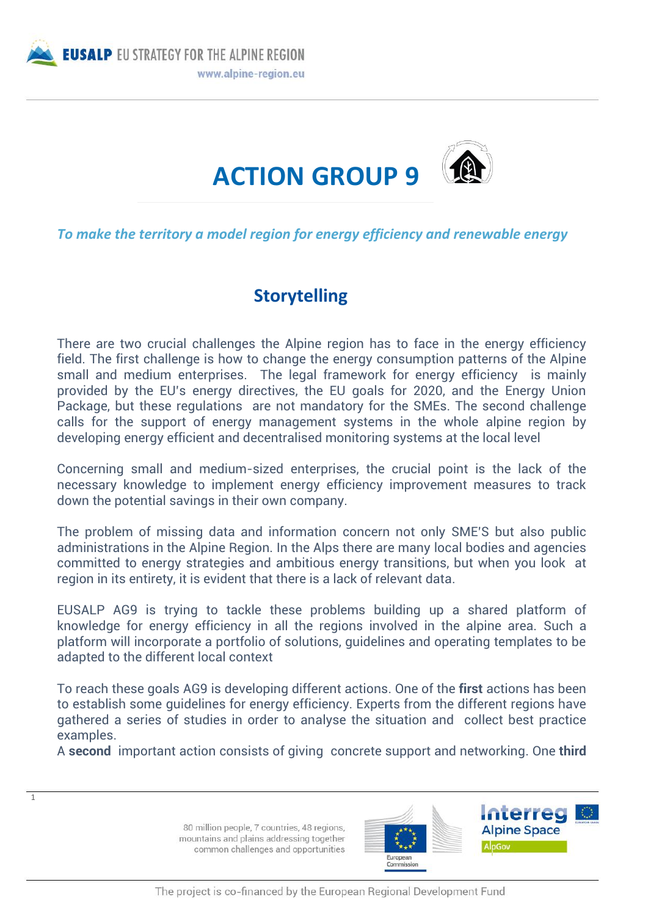



*To make the territory a model region for energy efficiency and renewable energy*

## **Storytelling**

There are two crucial challenges the Alpine region has to face in the energy efficiency field. The first challenge is how to change the energy consumption patterns of the Alpine small and medium enterprises. The legal framework for energy efficiency is mainly provided by the EU's energy directives, the EU goals for 2020, and the Energy Union Package, but these regulations are not mandatory for the SMEs. The second challenge calls for the support of energy management systems in the whole alpine region by developing energy efficient and decentralised monitoring systems at the local level

Concerning small and medium-sized enterprises, the crucial point is the lack of the necessary knowledge to implement energy efficiency improvement measures to track down the potential savings in their own company.

The problem of missing data and information concern not only SME'S but also public administrations in the Alpine Region. In the Alps there are many local bodies and agencies committed to energy strategies and ambitious energy transitions, but when you look at region in its entirety, it is evident that there is a lack of relevant data.

EUSALP AG9 is trying to tackle these problems building up a shared platform of knowledge for energy efficiency in all the regions involved in the alpine area. Such a platform will incorporate a portfolio of solutions, guidelines and operating templates to be adapted to the different local context

To reach these goals AG9 is developing different actions. One of the **first** actions has been to establish some guidelines for energy efficiency. Experts from the different regions have gathered a series of studies in order to analyse the situation and collect best practice examples.

A **second** important action consists of giving concrete support and networking. One **third**

80 million people, 7 countries, 48 regions, mountains and plains addressing together common challenges and opportunities

1